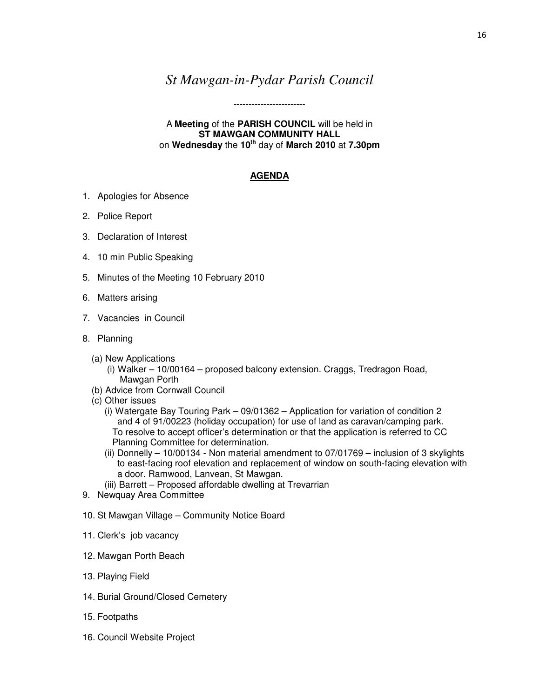## *St Mawgan-in-Pydar Parish Council*

------------------------

A **Meeting** of the **PARISH COUNCIL** will be held in **ST MAWGAN COMMUNITY HALL**  on **Wednesday** the **10th** day of **March 2010** at **7.30pm** 

## **AGENDA**

- 1. Apologies for Absence
- 2. Police Report
- 3. Declaration of Interest
- 4. 10 min Public Speaking
- 5. Minutes of the Meeting 10 February 2010
- 6. Matters arising
- 7. Vacancies in Council
- 8. Planning
	- (a) New Applications
		- (i) Walker 10/00164 proposed balcony extension. Craggs, Tredragon Road, Mawgan Porth
	- (b) Advice from Cornwall Council
	- (c) Other issues
		- (i) Watergate Bay Touring Park 09/01362 Application for variation of condition 2 and 4 of 91/00223 (holiday occupation) for use of land as caravan/camping park. To resolve to accept officer's determination or that the application is referred to CC Planning Committee for determination.
		- (ii) Donnelly 10/00134 Non material amendment to 07/01769 inclusion of 3 skylights to east-facing roof elevation and replacement of window on south-facing elevation with a door. Ramwood, Lanvean, St Mawgan.
		- (iii) Barrett Proposed affordable dwelling at Trevarrian
- 9. Newquay Area Committee
- 10. St Mawgan Village Community Notice Board
- 11. Clerk's job vacancy
- 12. Mawgan Porth Beach
- 13. Playing Field
- 14. Burial Ground/Closed Cemetery
- 15. Footpaths
- 16. Council Website Project